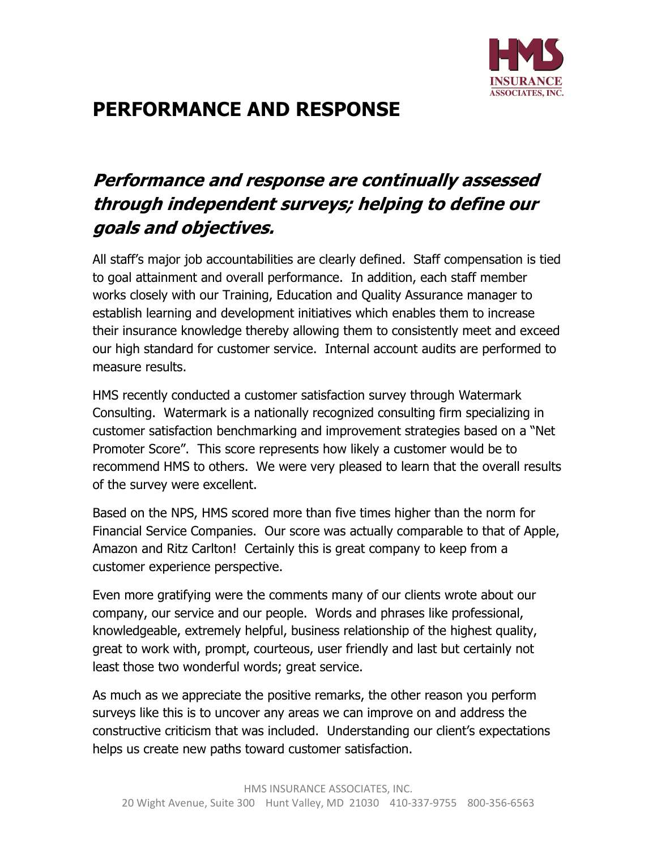

## PERFORMANCE AND RESPONSE

## Performance and response are continually assessed through independent surveys; helping to define our goals and objectives.

All staff's major job accountabilities are clearly defined. Staff compensation is tied to goal attainment and overall performance. In addition, each staff member works closely with our Training, Education and Quality Assurance manager to establish learning and development initiatives which enables them to increase their insurance knowledge thereby allowing them to consistently meet and exceed our high standard for customer service. Internal account audits are performed to measure results.

HMS recently conducted a customer satisfaction survey through Watermark Consulting. Watermark is a nationally recognized consulting firm specializing in customer satisfaction benchmarking and improvement strategies based on a "Net Promoter Score". This score represents how likely a customer would be to recommend HMS to others. We were very pleased to learn that the overall results of the survey were excellent.

Based on the NPS, HMS scored more than five times higher than the norm for Financial Service Companies. Our score was actually comparable to that of Apple, Amazon and Ritz Carlton! Certainly this is great company to keep from a customer experience perspective.

Even more gratifying were the comments many of our clients wrote about our company, our service and our people. Words and phrases like professional, knowledgeable, extremely helpful, business relationship of the highest quality, great to work with, prompt, courteous, user friendly and last but certainly not least those two wonderful words; great service.

As much as we appreciate the positive remarks, the other reason you perform surveys like this is to uncover any areas we can improve on and address the constructive criticism that was included. Understanding our client's expectations helps us create new paths toward customer satisfaction.